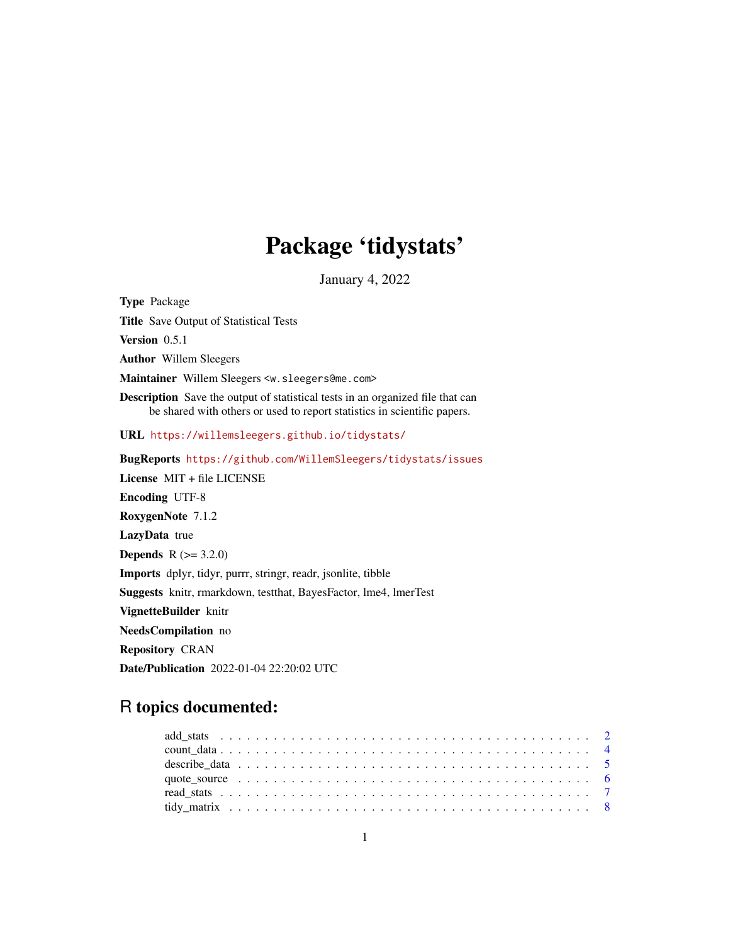## Package 'tidystats'

January 4, 2022

Type Package Title Save Output of Statistical Tests Version 0.5.1 Author Willem Sleegers Maintainer Willem Sleegers <w.sleegers@me.com> Description Save the output of statistical tests in an organized file that can be shared with others or used to report statistics in scientific papers. URL <https://willemsleegers.github.io/tidystats/> BugReports <https://github.com/WillemSleegers/tidystats/issues> License MIT + file LICENSE Encoding UTF-8 RoxygenNote 7.1.2 LazyData true **Depends** R  $(>= 3.2.0)$ Imports dplyr, tidyr, purrr, stringr, readr, jsonlite, tibble Suggests knitr, rmarkdown, testthat, BayesFactor, lme4, lmerTest VignetteBuilder knitr NeedsCompilation no Repository CRAN Date/Publication 2022-01-04 22:20:02 UTC

### R topics documented: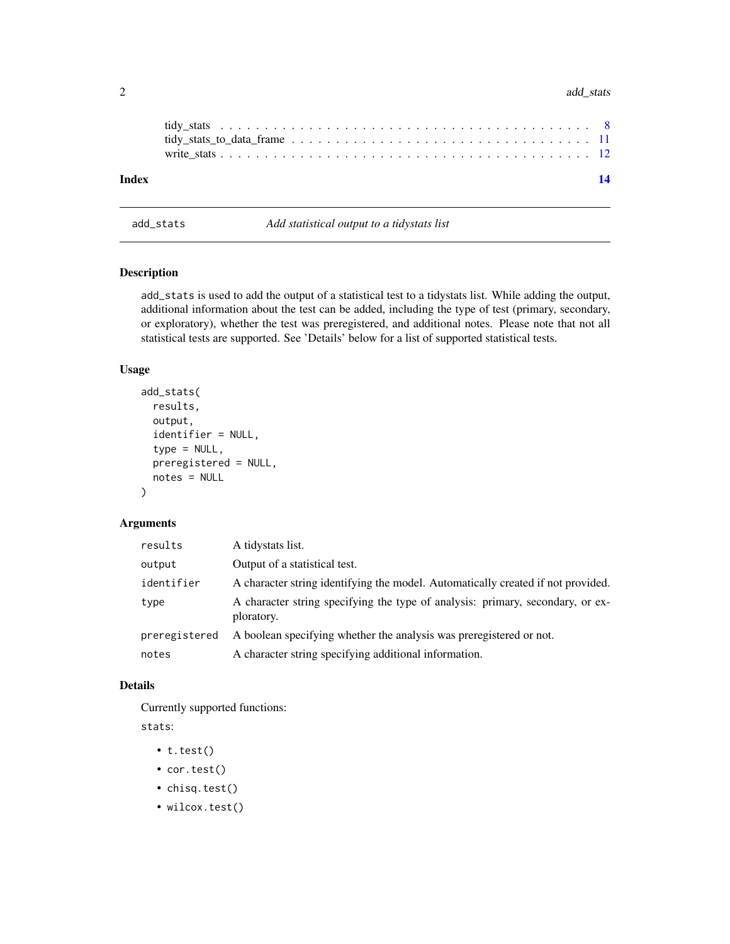#### <span id="page-1-0"></span>2 add\_stats and  $\frac{1}{2}$  and  $\frac{1}{2}$  and  $\frac{1}{2}$  and  $\frac{1}{2}$  and  $\frac{1}{2}$  and  $\frac{1}{2}$  and  $\frac{1}{2}$  and  $\frac{1}{2}$  and  $\frac{1}{2}$  and  $\frac{1}{2}$  and  $\frac{1}{2}$  and  $\frac{1}{2}$  and  $\frac{1}{2}$  and  $\frac{1}{2}$  and  $\frac{1}{2}$

| Index |  |  |  |  |  |  |  |  |  |  |  |  |  |  | 14 |
|-------|--|--|--|--|--|--|--|--|--|--|--|--|--|--|----|

add\_stats *Add statistical output to a tidystats list*

#### Description

add\_stats is used to add the output of a statistical test to a tidystats list. While adding the output, additional information about the test can be added, including the type of test (primary, secondary, or exploratory), whether the test was preregistered, and additional notes. Please note that not all statistical tests are supported. See 'Details' below for a list of supported statistical tests.

#### Usage

```
add_stats(
  results,
  output,
  identifier = NULL,
  type = NULL,
  preregistered = NULL,
  notes = NULL
)
```
#### Arguments

| results       | A tidystats list.                                                                            |
|---------------|----------------------------------------------------------------------------------------------|
| output        | Output of a statistical test.                                                                |
| identifier    | A character string identifying the model. Automatically created if not provided.             |
| type          | A character string specifying the type of analysis: primary, secondary, or ex-<br>ploratory. |
| preregistered | A boolean specifying whether the analysis was preregistered or not.                          |
| notes         | A character string specifying additional information.                                        |

#### Details

Currently supported functions:

stats:

- t.test()
- cor.test()
- chisq.test()
- wilcox.test()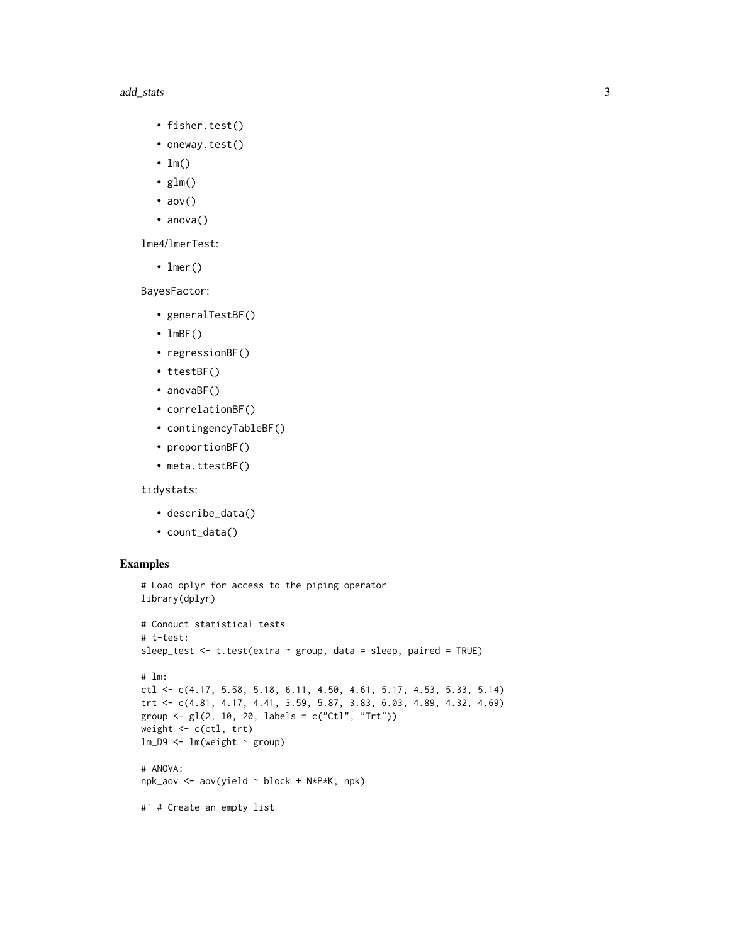#### add\_stats 3

- fisher.test()
- oneway.test()
- $\cdot$  lm()
- $glm()$
- $aov()$
- anova()

lme4/lmerTest:

• lmer()

BayesFactor:

- generalTestBF()
- $\cdot$  lmBF()
- regressionBF()
- ttestBF()
- anovaBF()
- correlationBF()
- contingencyTableBF()
- proportionBF()
- meta.ttestBF()

tidystats:

- describe\_data()
- count\_data()

```
# Load dplyr for access to the piping operator
library(dplyr)
# Conduct statistical tests
# t-test:
sleep_test <- t.test(extra ~ group, data = sleep, paired = TRUE)
# lm:
ctl <- c(4.17, 5.58, 5.18, 6.11, 4.50, 4.61, 5.17, 4.53, 5.33, 5.14)
trt <- c(4.81, 4.17, 4.41, 3.59, 5.87, 3.83, 6.03, 4.89, 4.32, 4.69)
group <- gl(2, 10, 20, 1abels = c("Ctl", "Trt"))weight <- c(ctl, trt)
lm_D9 \leftarrow lm(weight \sim group)# ANOVA:
npk_aov <- aov(yield ~ block + N*P*K, npk)
#' # Create an empty list
```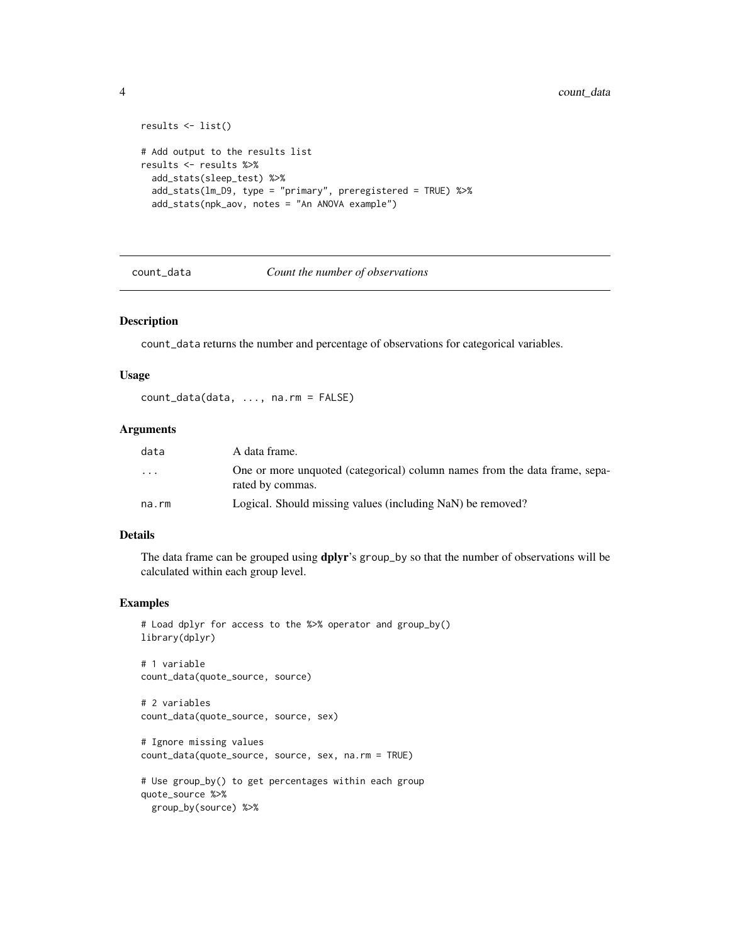```
results <- list()
# Add output to the results list
results <- results %>%
  add_stats(sleep_test) %>%
  add_stats(lm_D9, type = "primary", preregistered = TRUE) %>%
  add_stats(npk_aov, notes = "An ANOVA example")
```
count\_data *Count the number of observations*

#### Description

count\_data returns the number and percentage of observations for categorical variables.

#### Usage

count\_data(data, ..., na.rm = FALSE)

#### Arguments

| data      | A data frame.                                                                                  |
|-----------|------------------------------------------------------------------------------------------------|
| $\ddotsc$ | One or more unquoted (categorical) column names from the data frame, sepa-<br>rated by commas. |
| na.rm     | Logical. Should missing values (including NaN) be removed?                                     |

#### Details

The data frame can be grouped using dplyr's group\_by so that the number of observations will be calculated within each group level.

#### Examples

```
# Load dplyr for access to the %>% operator and group_by()
library(dplyr)
# 1 variable
count_data(quote_source, source)
# 2 variables
count_data(quote_source, source, sex)
# Ignore missing values
count_data(quote_source, source, sex, na.rm = TRUE)
# Use group_by() to get percentages within each group
quote_source %>%
```
group\_by(source) %>%

<span id="page-3-0"></span>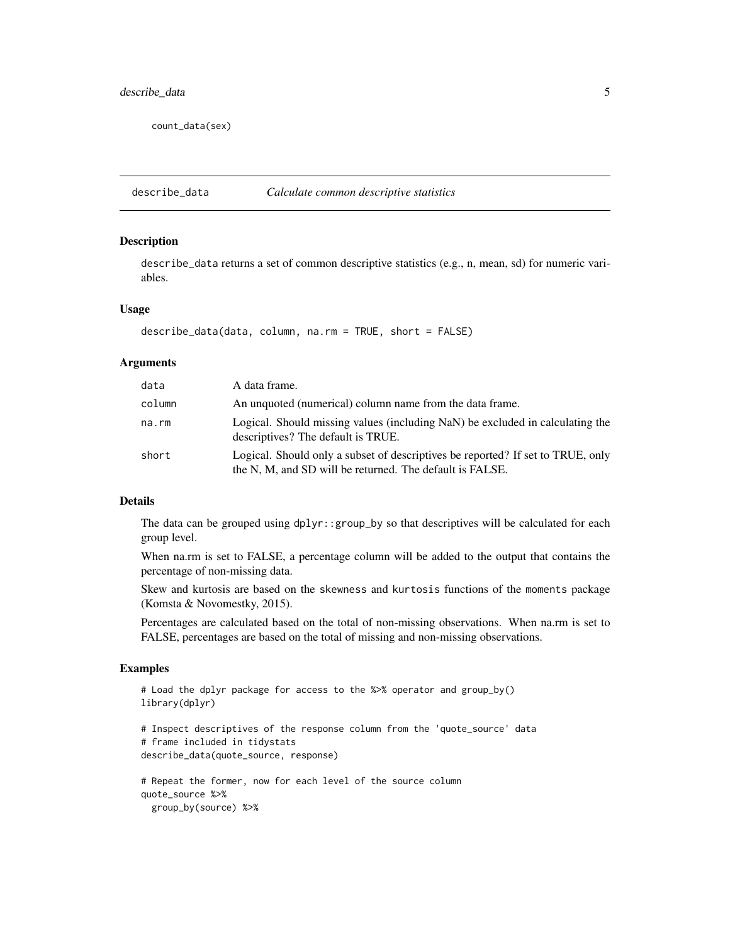<span id="page-4-0"></span>count\_data(sex)

describe\_data *Calculate common descriptive statistics*

#### Description

describe\_data returns a set of common descriptive statistics (e.g., n, mean, sd) for numeric variables.

#### Usage

```
describe_data(data, column, na.rm = TRUE, short = FALSE)
```
#### Arguments

| data   | A data frame.                                                                                                                               |
|--------|---------------------------------------------------------------------------------------------------------------------------------------------|
| column | An unquoted (numerical) column name from the data frame.                                                                                    |
| na.rm  | Logical. Should missing values (including NaN) be excluded in calculating the<br>descriptives? The default is TRUE.                         |
| short  | Logical. Should only a subset of descriptives be reported? If set to TRUE, only<br>the N, M, and SD will be returned. The default is FALSE. |

#### Details

The data can be grouped using dplyr::group\_by so that descriptives will be calculated for each group level.

When na.rm is set to FALSE, a percentage column will be added to the output that contains the percentage of non-missing data.

Skew and kurtosis are based on the skewness and kurtosis functions of the moments package (Komsta & Novomestky, 2015).

Percentages are calculated based on the total of non-missing observations. When na.rm is set to FALSE, percentages are based on the total of missing and non-missing observations.

```
# Load the dplyr package for access to the %>% operator and group_by()
library(dplyr)
# Inspect descriptives of the response column from the 'quote_source' data
# frame included in tidystats
describe_data(quote_source, response)
# Repeat the former, now for each level of the source column
quote_source %>%
 group_by(source) %>%
```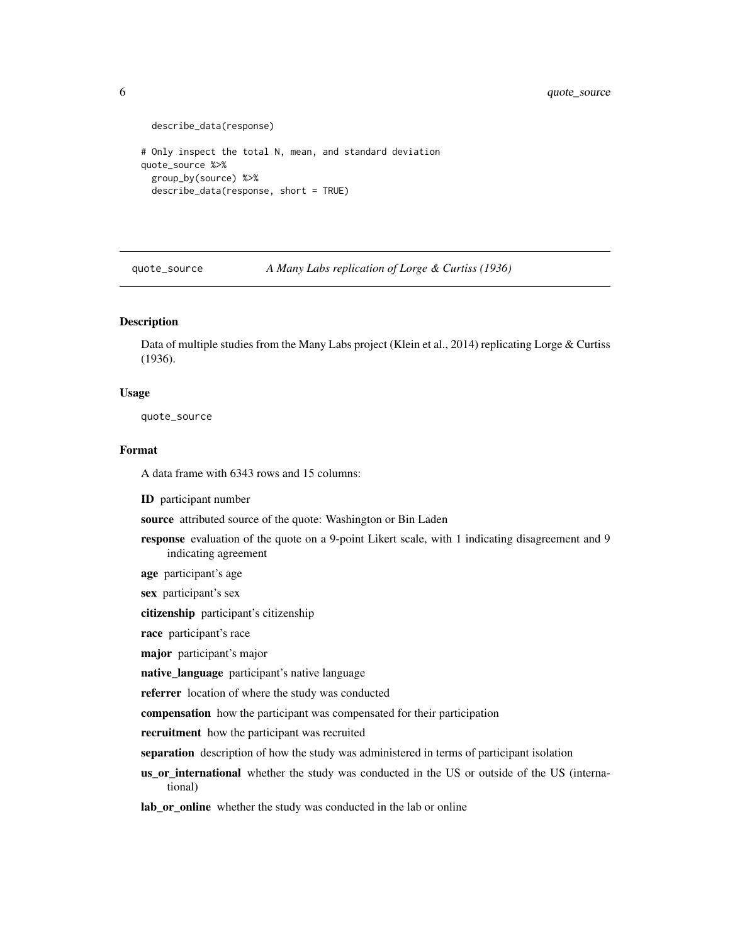```
describe_data(response)
# Only inspect the total N, mean, and standard deviation
quote_source %>%
 group_by(source) %>%
 describe_data(response, short = TRUE)
```
quote\_source *A Many Labs replication of Lorge & Curtiss (1936)*

#### Description

Data of multiple studies from the Many Labs project (Klein et al., 2014) replicating Lorge & Curtiss (1936).

#### Usage

quote\_source

#### Format

A data frame with 6343 rows and 15 columns:

ID participant number

source attributed source of the quote: Washington or Bin Laden

- response evaluation of the quote on a 9-point Likert scale, with 1 indicating disagreement and 9 indicating agreement
- age participant's age

sex participant's sex

citizenship participant's citizenship

race participant's race

major participant's major

native\_language participant's native language

referrer location of where the study was conducted

compensation how the participant was compensated for their participation

recruitment how the participant was recruited

separation description of how the study was administered in terms of participant isolation

us\_or\_international whether the study was conducted in the US or outside of the US (international)

lab\_or\_online whether the study was conducted in the lab or online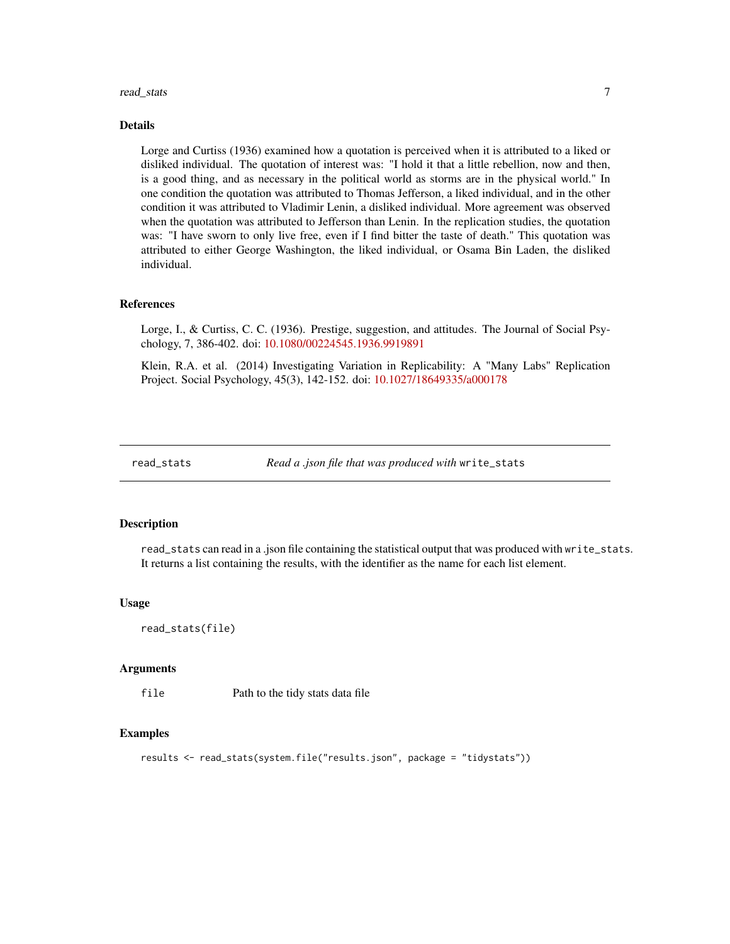#### <span id="page-6-0"></span>read\_stats 7

#### Details

Lorge and Curtiss (1936) examined how a quotation is perceived when it is attributed to a liked or disliked individual. The quotation of interest was: "I hold it that a little rebellion, now and then, is a good thing, and as necessary in the political world as storms are in the physical world." In one condition the quotation was attributed to Thomas Jefferson, a liked individual, and in the other condition it was attributed to Vladimir Lenin, a disliked individual. More agreement was observed when the quotation was attributed to Jefferson than Lenin. In the replication studies, the quotation was: "I have sworn to only live free, even if I find bitter the taste of death." This quotation was attributed to either George Washington, the liked individual, or Osama Bin Laden, the disliked individual.

#### References

Lorge, I., & Curtiss, C. C. (1936). Prestige, suggestion, and attitudes. The Journal of Social Psychology, 7, 386-402. doi: [10.1080/00224545.1936.9919891](https://doi.org/10.1080/00224545.1936.9919891)

Klein, R.A. et al. (2014) Investigating Variation in Replicability: A "Many Labs" Replication Project. Social Psychology, 45(3), 142-152. doi: [10.1027/18649335/a000178](https://doi.org/10.1027/1864-9335/a000178)

read\_stats *Read a .json file that was produced with* write\_stats

#### Description

read\_stats can read in a .json file containing the statistical output that was produced with write\_stats. It returns a list containing the results, with the identifier as the name for each list element.

#### Usage

read\_stats(file)

#### Arguments

file Path to the tidy stats data file

```
results <- read_stats(system.file("results.json", package = "tidystats"))
```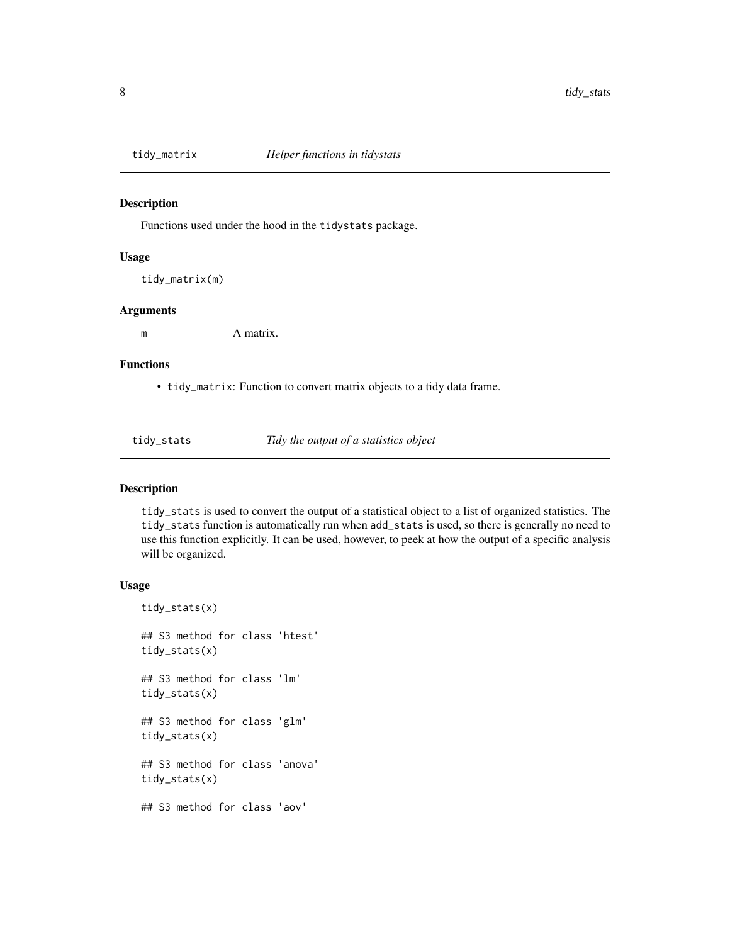<span id="page-7-0"></span>

#### Description

Functions used under the hood in the tidystats package.

#### Usage

tidy\_matrix(m)

#### Arguments

m A matrix.

#### Functions

• tidy\_matrix: Function to convert matrix objects to a tidy data frame.

tidy\_stats *Tidy the output of a statistics object*

#### Description

tidy\_stats is used to convert the output of a statistical object to a list of organized statistics. The tidy\_stats function is automatically run when add\_stats is used, so there is generally no need to use this function explicitly. It can be used, however, to peek at how the output of a specific analysis will be organized.

#### Usage

```
tidy_stats(x)
## S3 method for class 'htest'
tidy_stats(x)
## S3 method for class 'lm'
tidy_stats(x)
## S3 method for class 'glm'
tidy_stats(x)
## S3 method for class 'anova'
tidy_stats(x)
## S3 method for class 'aov'
```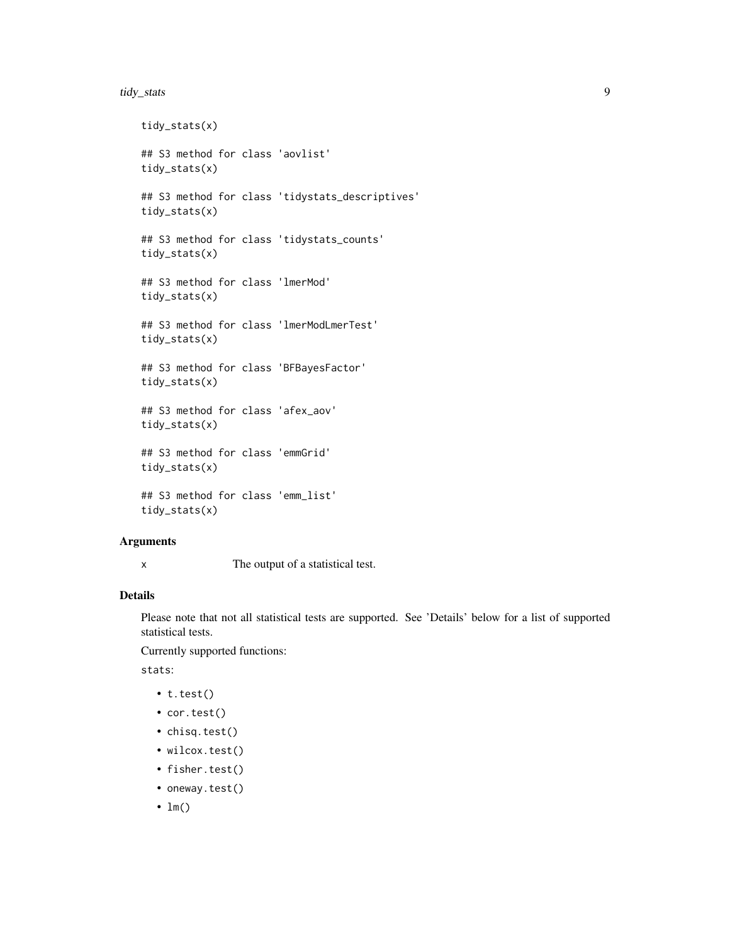#### tidy\_stats 9

```
tidy_stats(x)
## S3 method for class 'aovlist'
tidy_stats(x)
## S3 method for class 'tidystats_descriptives'
tidy_stats(x)
## S3 method for class 'tidystats_counts'
tidy_stats(x)
## S3 method for class 'lmerMod'
tidy_stats(x)
## S3 method for class 'lmerModLmerTest'
tidy_stats(x)
## S3 method for class 'BFBayesFactor'
tidy_stats(x)
## S3 method for class 'afex_aov'
tidy_stats(x)
## S3 method for class 'emmGrid'
tidy_stats(x)
## S3 method for class 'emm_list'
tidy_stats(x)
```
#### Arguments

x The output of a statistical test.

#### Details

Please note that not all statistical tests are supported. See 'Details' below for a list of supported statistical tests.

Currently supported functions:

stats:

- t.test()
- cor.test()
- chisq.test()
- wilcox.test()
- fisher.test()
- oneway.test()
- $\cdot$  lm()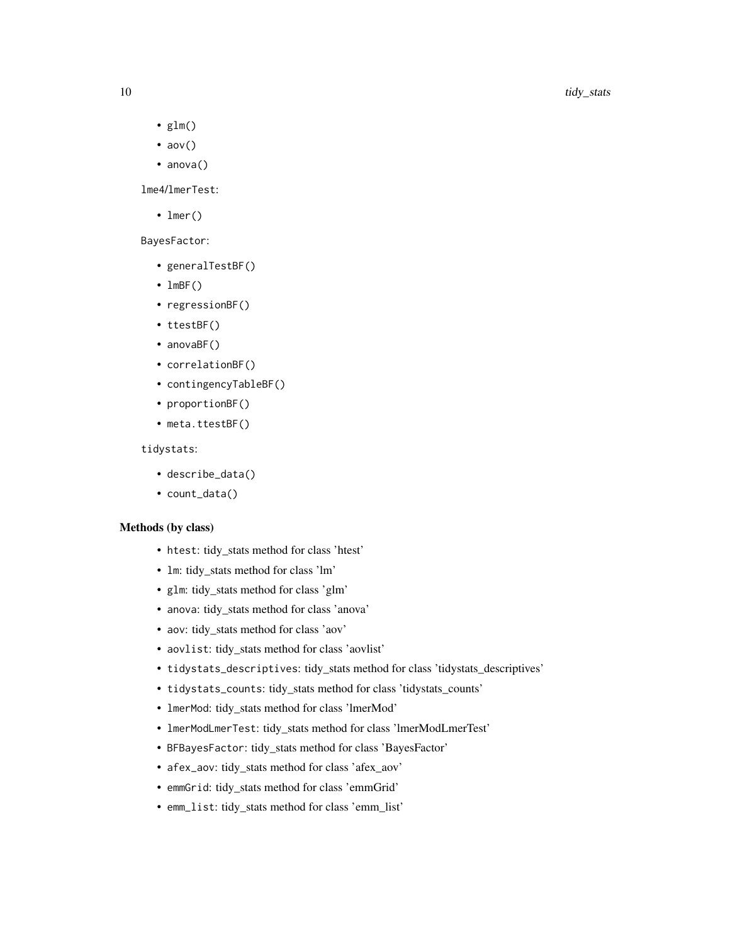- $glm()$
- $aov()$
- anova()

lme4/lmerTest:

• lmer()

BayesFactor:

- generalTestBF()
- $lmBF()$
- regressionBF()
- ttestBF()
- anovaBF()
- correlationBF()
- contingencyTableBF()
- proportionBF()
- meta.ttestBF()

#### tidystats:

- describe\_data()
- count\_data()

#### Methods (by class)

- htest: tidy\_stats method for class 'htest'
- lm: tidy\_stats method for class 'lm'
- glm: tidy\_stats method for class 'glm'
- anova: tidy\_stats method for class 'anova'
- aov: tidy\_stats method for class 'aov'
- aovlist: tidy\_stats method for class 'aovlist'
- tidystats\_descriptives: tidy\_stats method for class 'tidystats\_descriptives'
- tidystats\_counts: tidy\_stats method for class 'tidystats\_counts'
- lmerMod: tidy\_stats method for class 'lmerMod'
- lmerModLmerTest: tidy\_stats method for class 'lmerModLmerTest'
- BFBayesFactor: tidy\_stats method for class 'BayesFactor'
- afex\_aov: tidy\_stats method for class 'afex\_aov'
- emmGrid: tidy\_stats method for class 'emmGrid'
- emm\_list: tidy\_stats method for class 'emm\_list'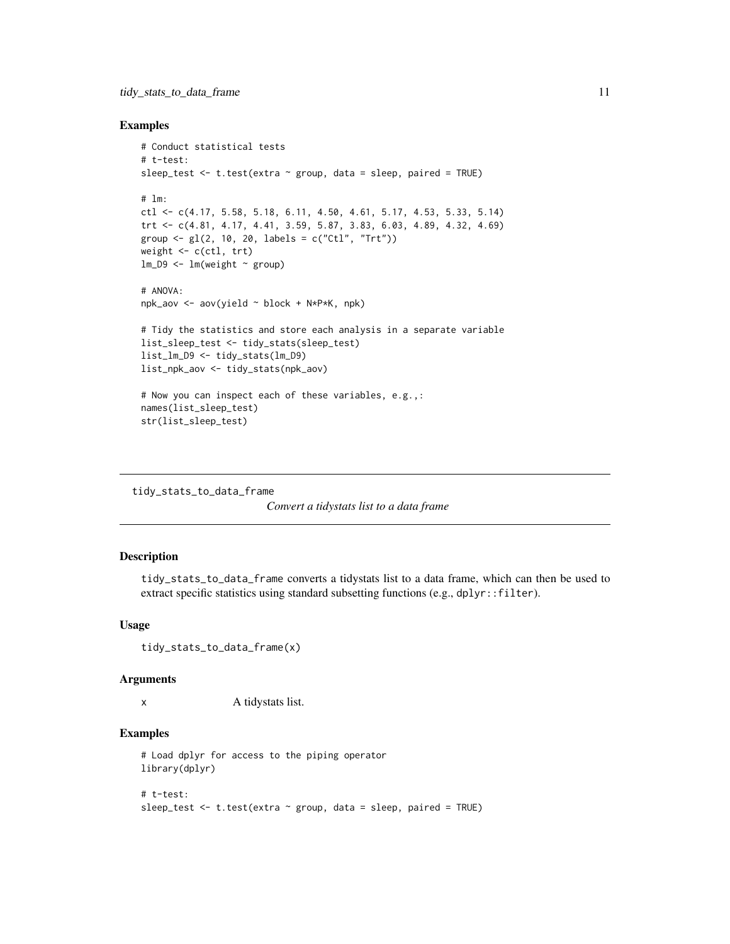#### <span id="page-10-0"></span>Examples

```
# Conduct statistical tests
# t-test:
sleep_test \leq t.test(extra \sim group, data = sleep, paired = TRUE)
# lm:
ctl \leq c(4.17, 5.58, 5.18, 6.11, 4.50, 4.61, 5.17, 4.53, 5.33, 5.14)
trt <- c(4.81, 4.17, 4.41, 3.59, 5.87, 3.83, 6.03, 4.89, 4.32, 4.69)
group <- gl(2, 10, 20, 1abels = c("Ctl", "Trt"))weight <- c(ctl, trt)
lm_D9 \leftarrow lm(weight \sim group)# ANOVA:
npk_aov <- aov(yield ~ block + N*P*K, npk)
# Tidy the statistics and store each analysis in a separate variable
list_sleep_test <- tidy_stats(sleep_test)
list_lm_D9 <- tidy_stats(lm_D9)
list_npk_aov <- tidy_stats(npk_aov)
# Now you can inspect each of these variables, e.g.,:
names(list_sleep_test)
```

```
str(list_sleep_test)
```
#### tidy\_stats\_to\_data\_frame

*Convert a tidystats list to a data frame*

#### Description

tidy\_stats\_to\_data\_frame converts a tidystats list to a data frame, which can then be used to extract specific statistics using standard subsetting functions (e.g., dplyr::filter).

#### Usage

```
tidy_stats_to_data_frame(x)
```
#### Arguments

x A tidystats list.

```
# Load dplyr for access to the piping operator
library(dplyr)
# t-test:
sleep_test \leq t.test(extra \sim group, data = sleep, paired = TRUE)
```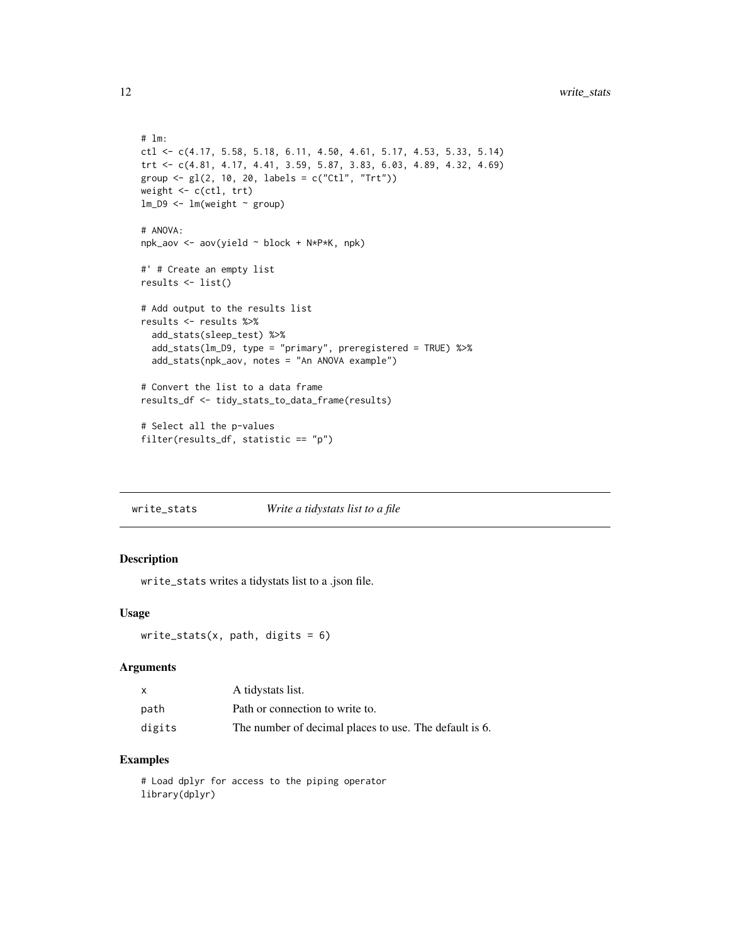```
# lm:
ctl <- c(4.17, 5.58, 5.18, 6.11, 4.50, 4.61, 5.17, 4.53, 5.33, 5.14)
trt <- c(4.81, 4.17, 4.41, 3.59, 5.87, 3.83, 6.03, 4.89, 4.32, 4.69)
group <- gl(2, 10, 20, 1abels = c("Ctl", "Trt"))weight <- c(ctl, trt)
lm_D9 \leftarrow lm(weight \sim group)# ANOVA:
npk_aov <- aov(yield ~ block + N*P*K, npk)
#' # Create an empty list
results <- list()
# Add output to the results list
results <- results %>%
  add_stats(sleep_test) %>%
  add_stats(lm_D9, type = "primary", preregistered = TRUE) %>%
  add_stats(npk_aov, notes = "An ANOVA example")
# Convert the list to a data frame
results_df <- tidy_stats_to_data_frame(results)
# Select all the p-values
filter(results_df, statistic == "p")
```
write\_stats *Write a tidystats list to a file*

#### Description

write\_stats writes a tidystats list to a .json file.

#### Usage

```
write_stats(x, path, digits = 6)
```
#### Arguments

|        | A tidystats list.                                      |
|--------|--------------------------------------------------------|
| path   | Path or connection to write to.                        |
| digits | The number of decimal places to use. The default is 6. |

#### Examples

# Load dplyr for access to the piping operator library(dplyr)

<span id="page-11-0"></span>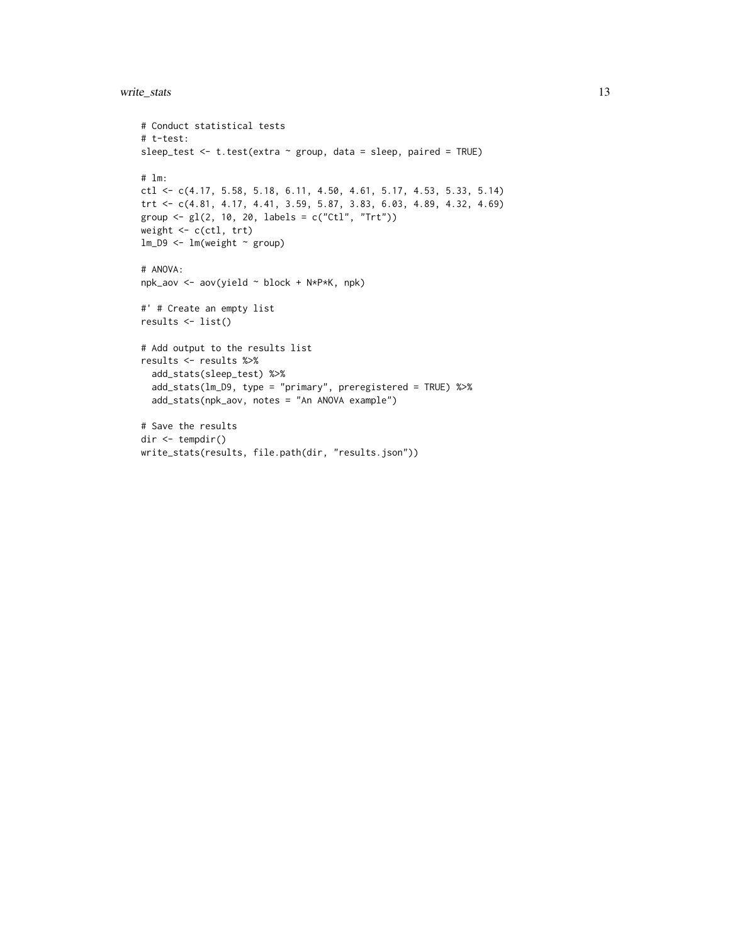#### write\_stats 13

```
# Conduct statistical tests
# t-test:
sleep_test <- t.test(extra ~ group, data = sleep, paired = TRUE)
# lm:
ctl <- c(4.17, 5.58, 5.18, 6.11, 4.50, 4.61, 5.17, 4.53, 5.33, 5.14)
trt <- c(4.81, 4.17, 4.41, 3.59, 5.87, 3.83, 6.03, 4.89, 4.32, 4.69)
group <- gl(2, 10, 20, labels = c("Ctl", "Trt"))
weight <- c(ctl, trt)
lm_D9 \leftarrow lm(weight \sim group)# ANOVA:
npk_aov <- aov(yield ~ block + N*P*K, npk)
#' # Create an empty list
results <- list()
# Add output to the results list
results <- results %>%
  add_stats(sleep_test) %>%
  add_stats(lm_D9, type = "primary", preregistered = TRUE) %>%
  add_stats(npk_aov, notes = "An ANOVA example")
# Save the results
dir <- tempdir()
write_stats(results, file.path(dir, "results.json"))
```